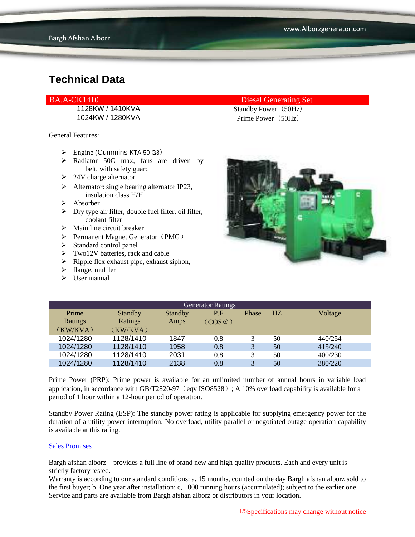1024KW / 1280KVA Prime Power (50Hz)

General Features:

- $\triangleright$  Engine (Cummins KTA 50 G3)
- > Radiator 50C max, fans are driven by belt, with safety guard
- $\geq 24V$  charge alternator
- $\triangleright$  Alternator: single bearing alternator IP23, insulation class H/H
- $\triangleright$  Absorber
- $\triangleright$  Dry type air filter, double fuel filter, oil filter, coolant filter
- $\triangleright$  Main line circuit breaker
- $\triangleright$  Permanent Magnet Generator (PMG)
- $\triangleright$  Standard control panel
- > Two12V batteries, rack and cable
- $\triangleright$  Ripple flex exhaust pipe, exhaust siphon,
- $\triangleright$  flange, muffler
- $\triangleright$  User manual

### BA.A-CK1410 Diesel Generating Set

1128KW / 1410KVA Standby Power (50Hz)



| <b>Generator Ratings</b> |                |                |                     |              |                |         |
|--------------------------|----------------|----------------|---------------------|--------------|----------------|---------|
| Prime                    | <b>Standby</b> | <b>Standby</b> | P.F                 | Phase        | H <sub>Z</sub> | Voltage |
| Ratings                  | Ratings        | Amps           | $(COS \mathcal{L})$ |              |                |         |
| (KW/KVA)                 | (KW/KVA)       |                |                     |              |                |         |
| 1024/1280                | 1128/1410      | 1847           | 0.8                 |              | 50             | 440/254 |
| 1024/1280                | 1128/1410      | 1958           | 0.8                 | 3            | 50             | 415/240 |
| 1024/1280                | 1128/1410      | 2031           | 0.8                 | 3            | 50             | 400/230 |
| 1024/1280                | 1128/1410      | 2138           | 0.8                 | $\mathbf{R}$ | 50             | 380/220 |

Prime Power (PRP): Prime power is available for an unlimited number of annual hours in variable load application, in accordance with GB/T2820-97 (eqv ISO8528); A 10% overload capability is available for a period of 1 hour within a 12-hour period of operation.

Standby Power Rating (ESP): The standby power rating is applicable for supplying emergency power for the duration of a utility power interruption. No overload, utility parallel or negotiated outage operation capability is available at this rating.

#### Sales Promises

Bargh afshan alborz provides a full line of brand new and high quality products. Each and every unit is strictly factory tested.

Warranty is according to our standard conditions: a, 15 months, counted on the day Bargh afshan alborz sold to the first buyer; b, One year after installation; c, 1000 running hours (accumulated); subject to the earlier one. Service and parts are available from Bargh afshan alborz or distributors in your location.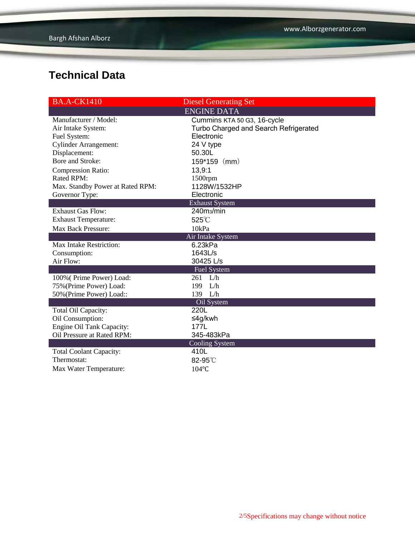| <b>BA.A-CK1410</b>               | <b>Diesel Generating Set</b>          |  |  |  |
|----------------------------------|---------------------------------------|--|--|--|
| <b>ENGINE DATA</b>               |                                       |  |  |  |
| Manufacturer / Model:            | Cummins KTA 50 G3, 16-cycle           |  |  |  |
| Air Intake System:               | Turbo Charged and Search Refrigerated |  |  |  |
| Fuel System:                     | Electronic                            |  |  |  |
| <b>Cylinder Arrangement:</b>     | 24 V type                             |  |  |  |
| Displacement:                    | 50.30L                                |  |  |  |
| Bore and Stroke:                 | $159*159$ (mm)                        |  |  |  |
| <b>Compression Ratio:</b>        | 13,9:1                                |  |  |  |
| Rated RPM:                       | 1500rpm                               |  |  |  |
| Max. Standby Power at Rated RPM: | 1128W/1532HP                          |  |  |  |
| Governor Type:                   | Electronic                            |  |  |  |
| <b>Exhaust System</b>            |                                       |  |  |  |
| <b>Exhaust Gas Flow:</b>         | 240m <sub>3</sub> /min                |  |  |  |
| <b>Exhaust Temperature:</b>      | 525°C                                 |  |  |  |
| Max Back Pressure:               | 10kPa                                 |  |  |  |
| Air Intake System                |                                       |  |  |  |
| <b>Max Intake Restriction:</b>   | 6.23kPa                               |  |  |  |
| Consumption:                     | 1643L/s                               |  |  |  |
| Air Flow:                        | 30425 L/s                             |  |  |  |
|                                  | <b>Fuel System</b>                    |  |  |  |
| 100% (Prime Power) Load:         | $261$ L/h                             |  |  |  |
| 75% (Prime Power) Load:          | L/h<br>199                            |  |  |  |
| 50% (Prime Power) Load::         | 139 L/h                               |  |  |  |
|                                  | Oil System                            |  |  |  |
| Total Oil Capacity:              | 220L                                  |  |  |  |
| Oil Consumption:                 | ≤4g/kwh                               |  |  |  |
| Engine Oil Tank Capacity:        | 177L                                  |  |  |  |
| Oil Pressure at Rated RPM:       | 345-483kPa                            |  |  |  |
|                                  | Cooling System                        |  |  |  |
| <b>Total Coolant Capacity:</b>   | 410L                                  |  |  |  |
| Thermostat:                      | 82-95°C                               |  |  |  |
| Max Water Temperature:           | 104°C                                 |  |  |  |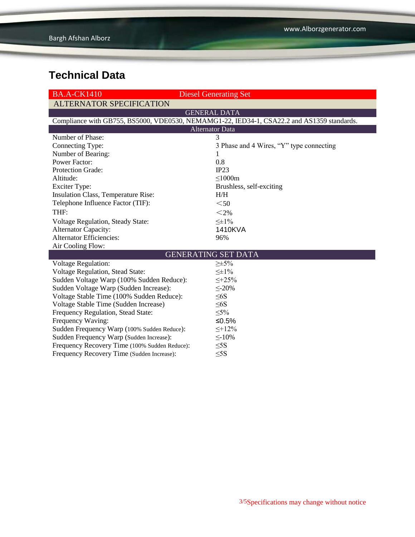| <b>BA.A-CK1410</b>                                                                         | <b>Diesel Generating Set</b>             |  |  |  |  |  |
|--------------------------------------------------------------------------------------------|------------------------------------------|--|--|--|--|--|
| <b>ALTERNATOR SPECIFICATION</b>                                                            |                                          |  |  |  |  |  |
|                                                                                            | <b>GENERAL DATA</b>                      |  |  |  |  |  |
| Compliance with GB755, BS5000, VDE0530, NEMAMG1-22, IED34-1, CSA22.2 and AS1359 standards. |                                          |  |  |  |  |  |
| <b>Alternator Data</b>                                                                     |                                          |  |  |  |  |  |
| Number of Phase:                                                                           | 3                                        |  |  |  |  |  |
| Connecting Type:                                                                           | 3 Phase and 4 Wires, "Y" type connecting |  |  |  |  |  |
| Number of Bearing:                                                                         | 1                                        |  |  |  |  |  |
| <b>Power Factor:</b>                                                                       | 0.8                                      |  |  |  |  |  |
| Protection Grade:                                                                          | IP23                                     |  |  |  |  |  |
| Altitude:                                                                                  | $\leq$ 1000m                             |  |  |  |  |  |
| <b>Exciter Type:</b>                                                                       | Brushless, self-exciting                 |  |  |  |  |  |
| Insulation Class, Temperature Rise:                                                        | H/H                                      |  |  |  |  |  |
| Telephone Influence Factor (TIF):                                                          | $50$                                     |  |  |  |  |  |
| THF:                                                                                       | $<$ 2%                                   |  |  |  |  |  |
| Voltage Regulation, Steady State:                                                          | $\leq \pm 1\%$                           |  |  |  |  |  |
| <b>Alternator Capacity:</b>                                                                | 1410KVA                                  |  |  |  |  |  |
| <b>Alternator Efficiencies:</b>                                                            | 96%                                      |  |  |  |  |  |
| Air Cooling Flow:                                                                          |                                          |  |  |  |  |  |
| <b>GENERATING SET DATA</b>                                                                 |                                          |  |  |  |  |  |
| <b>Voltage Regulation:</b>                                                                 | $\geq \pm 5\%$                           |  |  |  |  |  |
| <b>Voltage Regulation, Stead State:</b>                                                    | $\leq \pm 1\%$                           |  |  |  |  |  |
| Sudden Voltage Warp (100% Sudden Reduce):                                                  | $\leq +25\%$                             |  |  |  |  |  |
| Sudden Voltage Warp (Sudden Increase):                                                     | $\leq$ -20%                              |  |  |  |  |  |
| Voltage Stable Time (100% Sudden Reduce):                                                  | $\leq 6S$                                |  |  |  |  |  |
| Voltage Stable Time (Sudden Increase)                                                      | $\leq 6S$                                |  |  |  |  |  |
| Frequency Regulation, Stead State:                                                         | $\leq 5\%$                               |  |  |  |  |  |
| Frequency Waving:                                                                          | ≤0.5%                                    |  |  |  |  |  |
| Sudden Frequency Warp (100% Sudden Reduce):                                                | $\leq +12\%$                             |  |  |  |  |  |
| Sudden Frequency Warp (Sudden Increase):                                                   | $\leq$ -10%                              |  |  |  |  |  |
| Frequency Recovery Time (100% Sudden Reduce):                                              | $\leq$ 5S                                |  |  |  |  |  |
| Frequency Recovery Time (Sudden Increase):                                                 | $\leq$ 5S                                |  |  |  |  |  |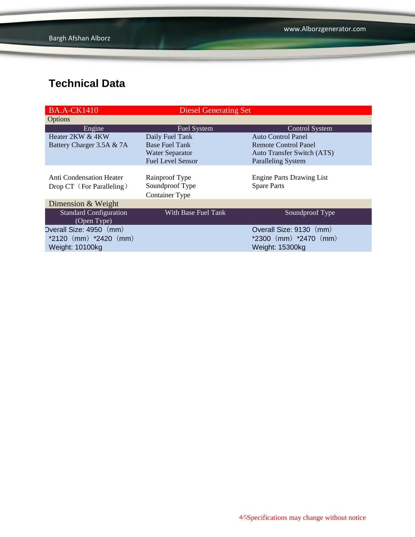| <b>BA.A-CK1410</b>                                    | <b>Diesel Generating Set</b>                               |                                                        |
|-------------------------------------------------------|------------------------------------------------------------|--------------------------------------------------------|
| <b>Options</b>                                        |                                                            |                                                        |
| Engine                                                | <b>Fuel System</b>                                         | Control System                                         |
| Heater 2KW & 4KW                                      | Daily Fuel Tank                                            | <b>Auto Control Panel</b>                              |
| Battery Charger 3.5A & 7A                             | <b>Base Fuel Tank</b>                                      | Remote Control Panel                                   |
|                                                       | <b>Water Separator</b>                                     | <b>Auto Transfer Switch (ATS)</b>                      |
|                                                       | <b>Fuel Level Sensor</b>                                   | <b>Paralleling System</b>                              |
| Anti Condensation Heater<br>Drop CT (For Paralleling) | Rainproof Type<br>Soundproof Type<br><b>Container Type</b> | <b>Engine Parts Drawing List</b><br><b>Spare Parts</b> |
| Dimension & Weight                                    |                                                            |                                                        |
| <b>Standard Configuration</b><br>(Open Type)          | With Base Fuel Tank                                        | Soundproof Type                                        |
| Overall Size: 4950 (mm)                               |                                                            | Overall Size: 9130 (mm)                                |
| $*2120$ (mm) $*2420$ (mm)                             |                                                            | $*2300$ (mm) $*2470$ (mm)                              |
| Weight: 10100kg                                       |                                                            | Weight: 15300kg                                        |